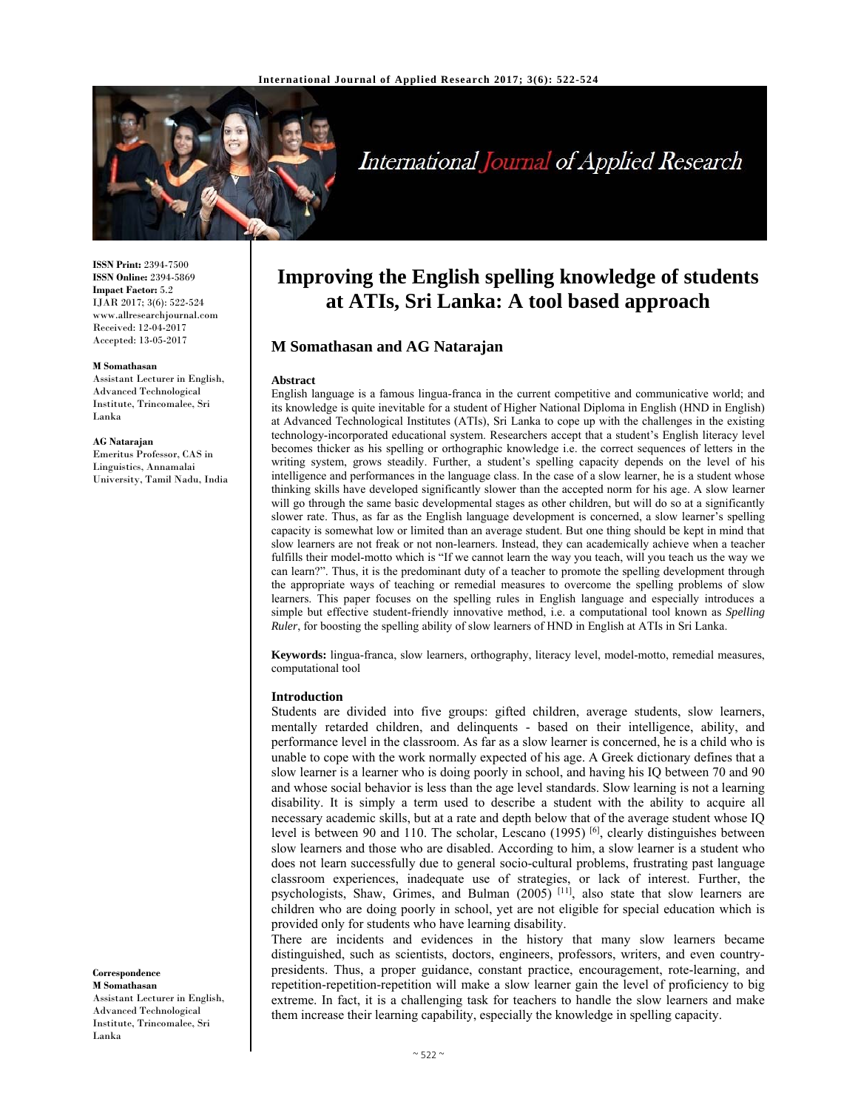

# International Journal of Applied Research

**ISSN Print:** 2394-7500 **ISSN Online:** 2394-5869 **Impact Factor:** 5.2 IJAR 2017; 3(6): 522-524 www.allresearchjournal.com Received: 12-04-2017 Accepted: 13-05-2017

#### **M Somathasan**

Assistant Lecturer in English, Advanced Technological Institute, Trincomalee, Sri Lanka

#### **AG Natarajan**

Emeritus Professor, CAS in Linguistics, Annamalai University, Tamil Nadu, India

# **Correspondence M Somathasan**

Assistant Lecturer in English, Advanced Technological Institute, Trincomalee, Sri Lanka

# **Improving the English spelling knowledge of students at ATIs, Sri Lanka: A tool based approach**

# **M Somathasan and AG Natarajan**

#### **Abstract**

English language is a famous lingua-franca in the current competitive and communicative world; and its knowledge is quite inevitable for a student of Higher National Diploma in English (HND in English) at Advanced Technological Institutes (ATIs), Sri Lanka to cope up with the challenges in the existing technology-incorporated educational system. Researchers accept that a student's English literacy level becomes thicker as his spelling or orthographic knowledge i.e. the correct sequences of letters in the writing system, grows steadily. Further, a student's spelling capacity depends on the level of his intelligence and performances in the language class. In the case of a slow learner, he is a student whose thinking skills have developed significantly slower than the accepted norm for his age. A slow learner will go through the same basic developmental stages as other children, but will do so at a significantly slower rate. Thus, as far as the English language development is concerned, a slow learner's spelling capacity is somewhat low or limited than an average student. But one thing should be kept in mind that slow learners are not freak or not non-learners. Instead, they can academically achieve when a teacher fulfills their model-motto which is "If we cannot learn the way you teach, will you teach us the way we can learn?". Thus, it is the predominant duty of a teacher to promote the spelling development through the appropriate ways of teaching or remedial measures to overcome the spelling problems of slow learners. This paper focuses on the spelling rules in English language and especially introduces a simple but effective student-friendly innovative method, i.e. a computational tool known as *Spelling Ruler*, for boosting the spelling ability of slow learners of HND in English at ATIs in Sri Lanka.

**Keywords:** lingua-franca, slow learners, orthography, literacy level, model-motto, remedial measures, computational tool

#### **Introduction**

Students are divided into five groups: gifted children, average students, slow learners, mentally retarded children, and delinquents - based on their intelligence, ability, and performance level in the classroom. As far as a slow learner is concerned, he is a child who is unable to cope with the work normally expected of his age. A Greek dictionary defines that a slow learner is a learner who is doing poorly in school, and having his IQ between 70 and 90 and whose social behavior is less than the age level standards. Slow learning is not a learning disability. It is simply a term used to describe a student with the ability to acquire all necessary academic skills, but at a rate and depth below that of the average student whose IQ level is between 90 and 110. The scholar, Lescano (1995) <sup>[6]</sup>, clearly distinguishes between slow learners and those who are disabled. According to him, a slow learner is a student who does not learn successfully due to general socio-cultural problems, frustrating past language classroom experiences, inadequate use of strategies, or lack of interest. Further, the psychologists, Shaw, Grimes, and Bulman (2005) [11], also state that slow learners are children who are doing poorly in school, yet are not eligible for special education which is provided only for students who have learning disability.

There are incidents and evidences in the history that many slow learners became distinguished, such as scientists, doctors, engineers, professors, writers, and even countrypresidents. Thus, a proper guidance, constant practice, encouragement, rote-learning, and repetition-repetition-repetition will make a slow learner gain the level of proficiency to big extreme. In fact, it is a challenging task for teachers to handle the slow learners and make them increase their learning capability, especially the knowledge in spelling capacity.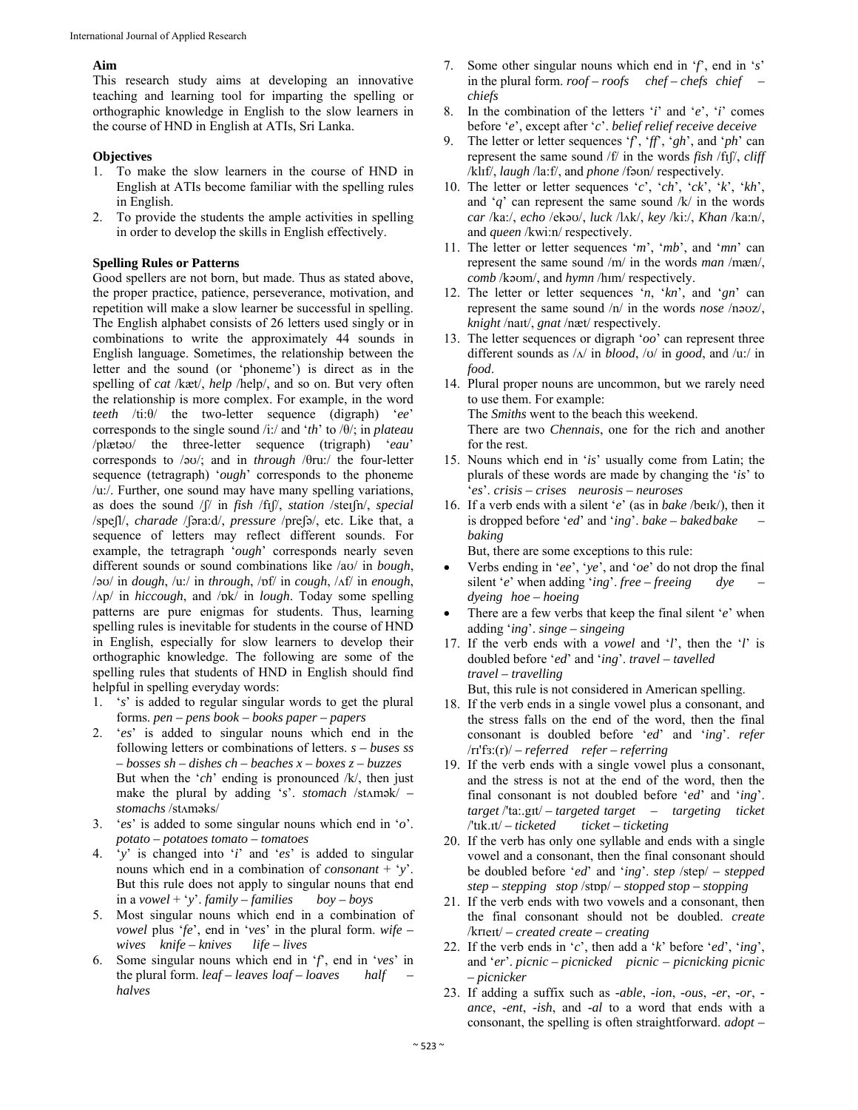# **Aim**

This research study aims at developing an innovative teaching and learning tool for imparting the spelling or orthographic knowledge in English to the slow learners in the course of HND in English at ATIs, Sri Lanka.

#### **Objectives**

- 1. To make the slow learners in the course of HND in English at ATIs become familiar with the spelling rules in English.
- 2. To provide the students the ample activities in spelling in order to develop the skills in English effectively.

# **Spelling Rules or Patterns**

Good spellers are not born, but made. Thus as stated above, the proper practice, patience, perseverance, motivation, and repetition will make a slow learner be successful in spelling. The English alphabet consists of 26 letters used singly or in combinations to write the approximately 44 sounds in English language. Sometimes, the relationship between the letter and the sound (or 'phoneme') is direct as in the spelling of *cat* /kæt/, *help* /help/, and so on. But very often the relationship is more complex. For example, in the word *teeth* /ti:θ/ the two-letter sequence (digraph) '*ee*' corresponds to the single sound /i:/ and '*th*' to /θ/; in *plateau* /plætəʊ/ the three-letter sequence (trigraph) '*eau*' corresponds to /əʊ/; and in *through* /θru:/ the four-letter sequence (tetragraph) '*ough*' corresponds to the phoneme /u:/. Further, one sound may have many spelling variations, as does the sound /ʃ/ in *fish* /fɪʃ/, *station* /steɪʃn/, *special* /speʃl/, *charade* /ʃəra:d/, *pressure* /preʃə/, etc. Like that, a sequence of letters may reflect different sounds. For example, the tetragraph '*ough*' corresponds nearly seven different sounds or sound combinations like /aʊ/ in *bough*, /əʊ/ in *dough*, /u:/ in *through*, /ɒf/ in *cough*, /ʌf/ in *enough*, /ʌp/ in *hiccough*, and /ɒk/ in *lough*. Today some spelling patterns are pure enigmas for students. Thus, learning spelling rules is inevitable for students in the course of HND in English, especially for slow learners to develop their orthographic knowledge. The following are some of the spelling rules that students of HND in English should find helpful in spelling everyday words:

- 1. '*s*' is added to regular singular words to get the plural forms. *pen – pens book – books paper – papers*
- 2. '*es*' is added to singular nouns which end in the following letters or combinations of letters. *s – buses ss – bosses sh – dishes ch – beaches x – boxes z – buzzes* But when the '*ch*' ending is pronounced /k/, then just make the plural by adding 's'. *stomach* /stAmək/ – *stomachs* /stʌməks/
- 3. '*es*' is added to some singular nouns which end in '*o*'. *potato – potatoes tomato – tomatoes*
- 4. '*y*' is changed into '*i*' and '*es*' is added to singular nouns which end in a combination of *consonant* + '*y*'. But this rule does not apply to singular nouns that end in a *vowel* + '*y*'. *family – families boy – boys*
- 5. Most singular nouns which end in a combination of *vowel* plus '*fe*', end in '*ves*' in the plural form. *wife – wives knife – knives life – lives*
- 6. Some singular nouns which end in '*f*', end in '*ves*' in the plural form. *leaf – leaves loaf – loaves half – halves*
- 7. Some other singular nouns which end in '*f*', end in '*s*' in the plural form. *roof – roofs chef – chefs chief – chiefs*
- 8. In the combination of the letters '*i*' and '*e*', '*i*' comes before '*e*', except after '*c*'. *belief relief receive deceive*
- 9. The letter or letter sequences '*f*', '*ff*', '*gh*', and '*ph*' can represent the same sound /f/ in the words *fish* /fɪʃ/, *cliff* /klɪf/, *laugh* /la:f/, and *phone* /fəʊn/ respectively.
- 10. The letter or letter sequences '*c*', '*ch*', '*ck*', '*k*', '*kh*', and  $q'$  can represent the same sound  $/k/$  in the words *car* /ka:/, *echo* /ekəʊ/, *luck* /lʌk/, *key* /ki:/, *Khan* /ka:n/, and *queen* /kwi:n/ respectively.
- 11. The letter or letter sequences '*m*', '*mb*', and '*mn*' can represent the same sound /m/ in the words *man* /mæn/, *comb* /kəʊm/, and *hymn* /hɪm/ respectively.
- 12. The letter or letter sequences '*n*, '*kn*', and '*gn*' can represent the same sound /n/ in the words *nose* /nəʊz/, *knight* /naɪt/, *gnat* /næt/ respectively.
- 13. The letter sequences or digraph '*oo*' can represent three different sounds as /ʌ/ in *blood*, /ʊ/ in *good*, and /u:/ in *food*.
- 14. Plural proper nouns are uncommon, but we rarely need to use them. For example: The *Smiths* went to the beach this weekend. There are two *Chennais*, one for the rich and another for the rest.
- 15. Nouns which end in '*is*' usually come from Latin; the plurals of these words are made by changing the '*is*' to '*es*'. *crisis – crises neurosis – neuroses*
- 16. If a verb ends with a silent '*e*' (as in *bake* /beɪk/), then it is dropped before '*ed*' and '*ing*'. *bake – baked bake – baking* But, there are some exceptions to this rule:
- Verbs ending in '*ee*', '*ye*', and '*oe*' do not drop the final silent '*e*' when adding '*ing*'. *free – freeing* dye *dyeing hoe – hoeing*
- There are a few verbs that keep the final silent '*e*' when adding '*ing*'. *singe – singeing*
- 17. If the verb ends with a *vowel* and '*l*', then the '*l*' is doubled before '*ed*' and '*ing*'. *travel – tavelled travel – travelling* But, this rule is not considered in American spelling.
- 18. If the verb ends in a single vowel plus a consonant, and the stress falls on the end of the word, then the final consonant is doubled before '*ed*' and '*ing*'. *refer*  /rɪ'fɜ:(r)/ *– referred refer – referring*
- 19. If the verb ends with a single vowel plus a consonant, and the stress is not at the end of the word, then the final consonant is not doubled before '*ed*' and '*ing*'. *target* /'ta:.gɪt/ *– targeted target – targeting ticket*  /'tɪk.ɪt/ *– ticketed ticket – ticketing*
- 20. If the verb has only one syllable and ends with a single vowel and a consonant, then the final consonant should be doubled before '*ed*' and '*ing*'. *step* /step/ *– stepped step – stepping stop* /stɒp/ *– stopped stop – stopping*
- 21. If the verb ends with two vowels and a consonant, then the final consonant should not be doubled. *create*  /krɪeɪt/ *– created create – creating*
- 22. If the verb ends in '*c*', then add a '*k*' before '*ed*', '*ing*', and '*er*'. *picnic – picnicked picnic – picnicking picnic – picnicker*
- 23. If adding a suffix such as *-able*, *-ion*, *-ous*, *-er*, *-or*,  *ance*, *-ent*, *-ish*, and *-al* to a word that ends with a consonant, the spelling is often straightforward. *adopt –*